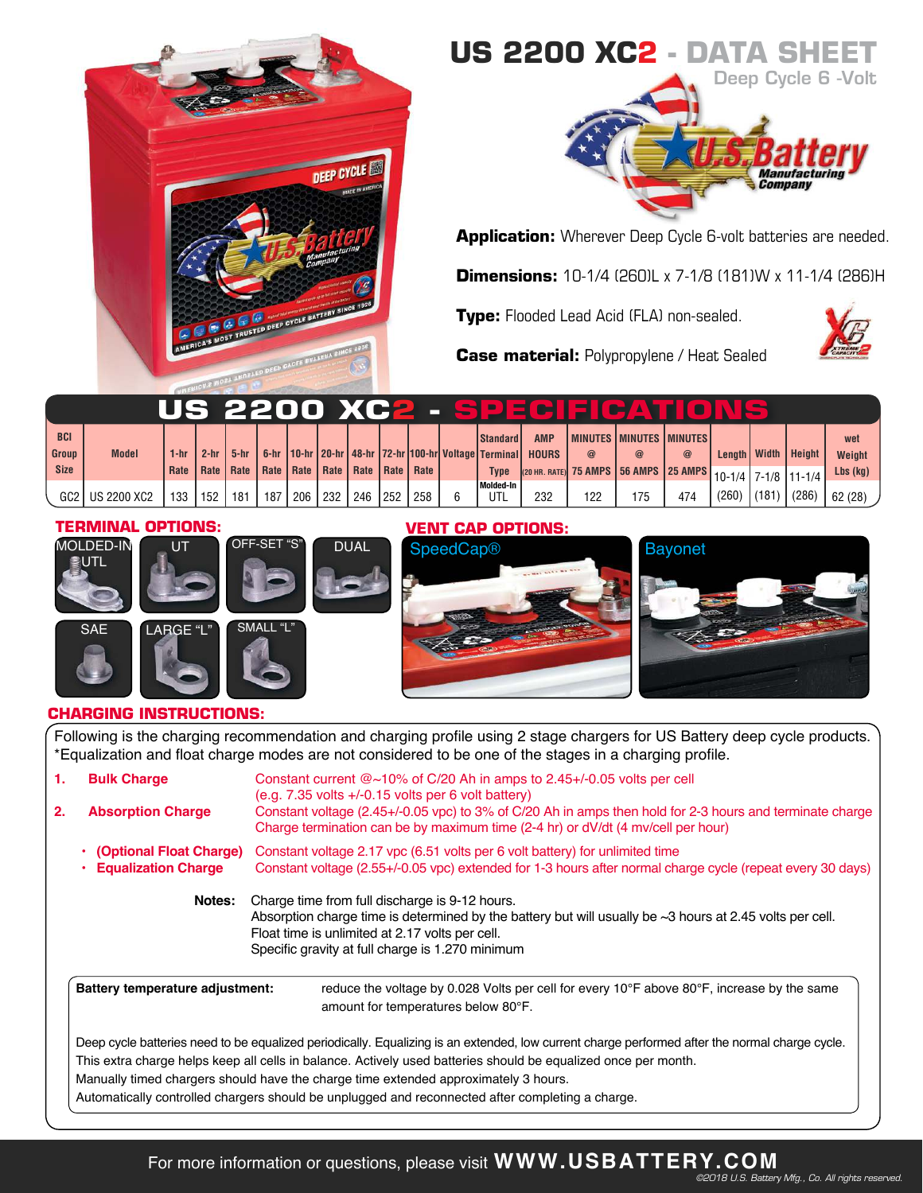

# **US 2200 XC2 - DATA SHEET**



**Application:** Wherever Deep Cycle 6-volt batteries are needed.

**Dimensions:** 10-1/4 (260)L x 7-1/8 (181)W x 11-1/4 (286)H

**Type:** Flooded Lead Acid (FLA) non-sealed.



**Case material:** Polypropylene / Heat Sealed

|            |                 |      |        |                                                              |     |     |     |       |     |     |                  |                                                                            | US 2200 XC2 - SPECIE CATIO                          |             |          |       |       |                         |                |
|------------|-----------------|------|--------|--------------------------------------------------------------|-----|-----|-----|-------|-----|-----|------------------|----------------------------------------------------------------------------|-----------------------------------------------------|-------------|----------|-------|-------|-------------------------|----------------|
| <b>BCI</b> |                 |      |        |                                                              |     |     |     |       |     |     | <b>Standard</b>  | <b>AMP</b>                                                                 | <b>IMINUTES IMINUTES IMINUTES I</b>                 |             |          |       |       |                         | wet            |
| Group      | <b>Model</b>    | 1-hr | $2-hr$ | $5-hr$                                                       |     |     |     |       |     |     |                  | 6-hr   10-hr   20-hr   48-hr   72-hr   100-hr   Voltage   Terminal   HOURS |                                                     | $\circleda$ | $\omega$ |       |       | Length   Width   Height | Weight         |
| Size       |                 |      |        | Rate   Rate   Rate   Rate   Rate   Rate   Rate   Rate   Rate |     |     |     |       |     |     | <b>Type</b>      |                                                                            | 25 AMPS 35 AMPS 35 AMPS 35 AMPS 10-1/4 7-1/8 11-1/4 |             |          |       |       |                         | $Lbs$ ( $kq$ ) |
|            | GC2 US 2200 XC2 | 133  | 152    | 181                                                          | 187 | 206 | 232 | 246 I | 252 | 258 | Molded-In<br>UTL | 232                                                                        | 122                                                 | 175         | 474      | (260) | (181) | (286)                   | 62 (28)        |

### **TERMINAL OPTIONS:**





## **VENT CAP OPTIONS:**





## **CHARGING INSTRUCTIONS:**

SAE LARGE "L" SMALL

Following is the charging recommendation and charging profile using 2 stage chargers for US Battery deep cycle products. \*Equalization and float charge modes are not considered to be one of the stages in a charging profile.

| 1.                                     | <b>Bulk Charge</b>                                    | Constant current $@{\sim}10\%$ of C/20 Ah in amps to 2.45+/-0.05 volts per cell<br>$(e.g. 7.35$ volts $+/-0.15$ volts per 6 volt battery)                                                                                                                                                                                                                                                                                                                   |
|----------------------------------------|-------------------------------------------------------|-------------------------------------------------------------------------------------------------------------------------------------------------------------------------------------------------------------------------------------------------------------------------------------------------------------------------------------------------------------------------------------------------------------------------------------------------------------|
| 2.                                     | <b>Absorption Charge</b>                              | Constant voltage (2.45+/-0.05 vpc) to 3% of C/20 Ah in amps then hold for 2-3 hours and terminate charge<br>Charge termination can be by maximum time (2-4 hr) or dV/dt (4 mv/cell per hour)                                                                                                                                                                                                                                                                |
|                                        | (Optional Float Charge)<br><b>Equalization Charge</b> | Constant voltage 2.17 ypc (6.51 yolts per 6 yolt battery) for unlimited time<br>Constant voltage (2.55+/-0.05 vpc) extended for 1-3 hours after normal charge cycle (repeat every 30 days)                                                                                                                                                                                                                                                                  |
|                                        | Notes:                                                | Charge time from full discharge is 9-12 hours.<br>Absorption charge time is determined by the battery but will usually be $\sim$ 3 hours at 2.45 volts per cell.<br>Float time is unlimited at 2.17 volts per cell.<br>Specific gravity at full charge is 1.270 minimum                                                                                                                                                                                     |
| <b>Battery temperature adjustment:</b> |                                                       | reduce the voltage by 0.028 Volts per cell for every 10 $\degree$ F above 80 $\degree$ F, increase by the same<br>amount for temperatures below 80°F.                                                                                                                                                                                                                                                                                                       |
|                                        |                                                       | Deep cycle batteries need to be equalized periodically. Equalizing is an extended, low current charge performed after the normal charge cycle.<br>This extra charge helps keep all cells in balance. Actively used batteries should be equalized once per month.<br>Manually timed chargers should have the charge time extended approximately 3 hours.<br>Automatically controlled chargers should be unplugged and reconnected after completing a charge. |